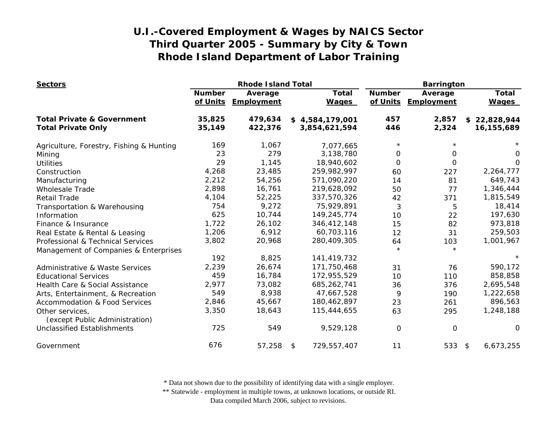| <b>Sectors</b>                                    |               | <b>Rhode Island Total</b>      |                              | <b>Barrington</b>         |                              |                              |
|---------------------------------------------------|---------------|--------------------------------|------------------------------|---------------------------|------------------------------|------------------------------|
|                                                   | <b>Number</b> | Average<br>of Units Employment | <b>Total</b><br><b>Wages</b> | <b>Number</b><br>of Units | Average<br><b>Employment</b> | <b>Total</b><br><b>Wages</b> |
| <b>Total Private &amp; Government</b>             | 35,825        | 479,634                        | \$4,584,179,001              | 457                       | 2,857                        | \$22,828,944                 |
| <b>Total Private Only</b>                         | 35,149        | 422,376                        | 3,854,621,594                | 446                       | 2,324                        | 16,155,689                   |
| Agriculture, Forestry, Fishing & Hunting          | 169           | 1,067                          | 7,077,665                    | $\star$                   |                              |                              |
| Mining                                            | 23            | 279                            | 3,138,780                    | $\Omega$                  | 0                            | 0                            |
| <b>Utilities</b>                                  | 29            | 1,145                          | 18,940,602                   | $\Omega$                  | 0                            | $\Omega$                     |
| Construction                                      | 4,268         | 23,485                         | 259,982,997                  | 60                        | 227                          | 2,264,777                    |
| Manufacturing                                     | 2,212         | 54,256                         | 571,090,220                  | 14                        | 81                           | 649,743                      |
| <b>Wholesale Trade</b>                            | 2,898         | 16,761                         | 219,628,092                  | 50                        | 77                           | 1,346,444                    |
| <b>Retail Trade</b>                               | 4,104         | 52,225                         | 337,570,326                  | 42                        | 371                          | 1,815,549                    |
| Transportation & Warehousing                      | 754           | 9,272                          | 75,929,891                   | 3                         | 5                            | 18,414                       |
| Information                                       | 625           | 10,744                         | 149,245,774                  | 10                        | 22                           | 197,630                      |
| Finance & Insurance                               | 1,722         | 26,102                         | 346,412,148                  | 15                        | 82                           | 973,818                      |
| Real Estate & Rental & Leasing                    | 1,206         | 6,912                          | 60,703,116                   | 12                        | 31                           | 259,503                      |
| Professional & Technical Services                 | 3,802         | 20,968                         | 280,409,305                  | 64                        | 103                          | 1,001,967                    |
| Management of Companies & Enterprises             |               |                                |                              | $\star$                   | $\star$                      |                              |
|                                                   | 192           | 8,825                          | 141,419,732                  |                           |                              | $\star$                      |
| <b>Administrative &amp; Waste Services</b>        | 2,239         | 26,674                         | 171,750,468                  | 31                        | 76                           | 590,172                      |
| <b>Educational Services</b>                       | 459           | 16,784                         | 172,955,529                  | 10                        | 110                          | 858,858                      |
| Health Care & Social Assistance                   | 2,977         | 73,082                         | 685,262,741                  | 36                        | 376                          | 2,695,548                    |
| Arts, Entertainment, & Recreation                 | 549           | 8,938                          | 47,667,528                   | 9                         | 190                          | 1,222,658                    |
| <b>Accommodation &amp; Food Services</b>          | 2,846         | 45,667                         | 180,462,897                  | 23                        | 261                          | 896,563                      |
| Other services,<br>(except Public Administration) | 3,350         | 18,643                         | 115,444,655                  | 63                        | 295                          | 1,248,188                    |
| <b>Unclassified Establishments</b>                | 725           | 549                            | 9,529,128                    | $\Omega$                  | 0                            | 0                            |
| Government                                        | 676           | 57,258                         | \$<br>729,557,407            | 11                        | 533 \$                       | 6,673,255                    |

\* Data not shown due to the possibility of identifying data with a single employer.

\*\* Statewide - employment in multiple towns, at unknown locations, or outside RI.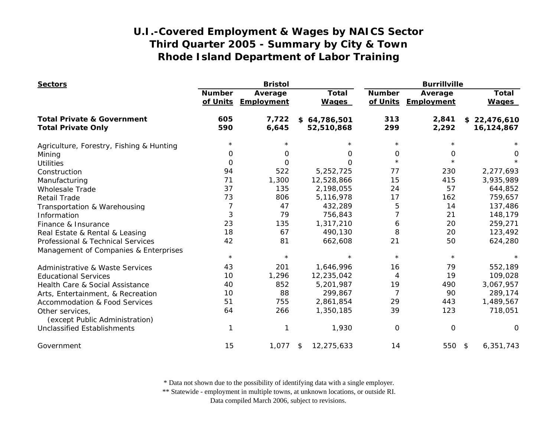| <b>Sectors</b>                                    |                           | <b>Bristol</b>        |                              | <b>Burrillville</b>       |                       |                              |
|---------------------------------------------------|---------------------------|-----------------------|------------------------------|---------------------------|-----------------------|------------------------------|
|                                                   | <b>Number</b><br>of Units | Average<br>Employment | <b>Total</b><br><b>Wages</b> | <b>Number</b><br>of Units | Average<br>Employment | <b>Total</b><br><b>Wages</b> |
| <b>Total Private &amp; Government</b>             | 605                       | 7,722                 | \$64,786,501                 | 313                       | 2,841                 | \$22,476,610                 |
| <b>Total Private Only</b>                         | 590                       | 6,645                 | 52,510,868                   | 299                       | 2,292                 | 16,124,867                   |
| Agriculture, Forestry, Fishing & Hunting          | $\star$                   |                       | $\star$                      | $\star$                   | $^\star$              |                              |
| Mining                                            | 0                         | 0                     | 0                            | 0                         | 0                     | 0                            |
| <b>Utilities</b>                                  | $\Omega$                  | 0                     | $\Omega$                     | $\star$                   | $\star$               |                              |
| Construction                                      | 94                        | 522                   | 5,252,725                    | 77                        | 230                   | 2,277,693                    |
| Manufacturing                                     | 71                        | 1,300                 | 12,528,866                   | 15                        | 415                   | 3,935,989                    |
| <b>Wholesale Trade</b>                            | 37                        | 135                   | 2,198,055                    | 24                        | 57                    | 644,852                      |
| <b>Retail Trade</b>                               | 73                        | 806                   | 5,116,978                    | 17                        | 162                   | 759,657                      |
| Transportation & Warehousing                      | 7                         | 47                    | 432,289                      | 5                         | 14                    | 137,486                      |
| Information                                       | 3                         | 79                    | 756,843                      | 7                         | 21                    | 148,179                      |
| Finance & Insurance                               | 23                        | 135                   | 1,317,210                    | 6                         | 20                    | 259,271                      |
| Real Estate & Rental & Leasing                    | 18                        | 67                    | 490,130                      | 8                         | 20                    | 123,492                      |
| Professional & Technical Services                 | 42                        | 81                    | 662,608                      | 21                        | 50                    | 624,280                      |
| Management of Companies & Enterprises             |                           |                       |                              |                           |                       |                              |
|                                                   | $\star$                   | $\star$               |                              | $\star$                   | $\star$               | $^\star$                     |
| Administrative & Waste Services                   | 43                        | 201                   | 1,646,996                    | 16                        | 79                    | 552,189                      |
| <b>Educational Services</b>                       | 10                        | 1,296                 | 12,235,042                   | 4                         | 19                    | 109,028                      |
| Health Care & Social Assistance                   | 40                        | 852                   | 5,201,987                    | 19                        | 490                   | 3,067,957                    |
| Arts, Entertainment, & Recreation                 | 10                        | 88                    | 299,867                      | $\overline{7}$            | 90                    | 289,174                      |
| Accommodation & Food Services                     | 51                        | 755                   | 2,861,854                    | 29                        | 443                   | 1,489,567                    |
| Other services,<br>(except Public Administration) | 64                        | 266                   | 1,350,185                    | 39                        | 123                   | 718,051                      |
| <b>Unclassified Establishments</b>                |                           |                       | 1,930                        | 0                         | $\mathbf 0$           | $\Omega$                     |
| Government                                        | 15                        | 1,077                 | 12,275,633<br>\$             | 14                        | 550 \$                | 6,351,743                    |

\* Data not shown due to the possibility of identifying data with a single employer.

\*\* Statewide - employment in multiple towns, at unknown locations, or outside RI.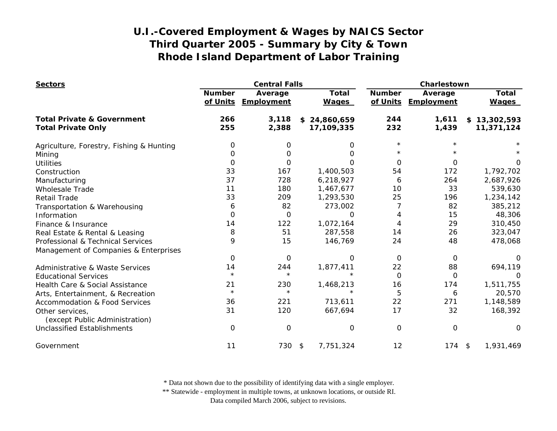| <b>Sectors</b>                                    |                           | <b>Central Falls</b>  |                              |                           | Charlestown           |                              |  |
|---------------------------------------------------|---------------------------|-----------------------|------------------------------|---------------------------|-----------------------|------------------------------|--|
|                                                   | <b>Number</b><br>of Units | Average<br>Employment | <b>Total</b><br><b>Wages</b> | <b>Number</b><br>of Units | Average<br>Employment | <b>Total</b><br><b>Wages</b> |  |
| <b>Total Private &amp; Government</b>             | 266                       | 3,118                 | \$24,860,659                 | 244                       | 1,611                 | \$13,302,593                 |  |
| <b>Total Private Only</b>                         | 255                       | 2,388                 | 17,109,335                   | 232                       | 1,439                 | 11,371,124                   |  |
| Agriculture, Forestry, Fishing & Hunting          | 0                         | 0                     | 0                            | $\star$                   |                       |                              |  |
| Mining                                            | 0                         | O                     | O                            |                           |                       |                              |  |
| <b>Utilities</b>                                  | $\Omega$                  | 0                     | O                            | $\Omega$                  | $\Omega$              | 0                            |  |
| Construction                                      | 33                        | 167                   | 1,400,503                    | 54                        | 172                   | 1,792,702                    |  |
| Manufacturing                                     | 37                        | 728                   | 6,218,927                    | 6                         | 264                   | 2,687,926                    |  |
| <b>Wholesale Trade</b>                            | 11                        | 180                   | 1,467,677                    | 10                        | 33                    | 539,630                      |  |
| <b>Retail Trade</b>                               | 33                        | 209                   | 1,293,530                    | 25                        | 196                   | 1,234,142                    |  |
| Transportation & Warehousing                      | 6                         | 82                    | 273,002                      |                           | 82                    | 385,212                      |  |
| Information                                       | 0                         | $\Omega$              | $\Omega$                     | 4                         | 15                    | 48,306                       |  |
| Finance & Insurance                               | 14                        | 122                   | 1,072,164                    | 4                         | 29                    | 310,450                      |  |
| Real Estate & Rental & Leasing                    | 8                         | 51                    | 287,558                      | 14                        | 26                    | 323,047                      |  |
| Professional & Technical Services                 | 9                         | 15                    | 146,769                      | 24                        | 48                    | 478,068                      |  |
| Management of Companies & Enterprises             |                           |                       |                              |                           |                       |                              |  |
|                                                   | 0                         | 0                     | $\Omega$                     | $\Omega$                  | 0                     | O                            |  |
| Administrative & Waste Services                   | 14                        | 244                   | 1,877,411                    | 22                        | 88                    | 694,119                      |  |
| <b>Educational Services</b>                       | $\star$                   | $\star$               | $\star$                      | $\mathbf 0$               | 0                     | $\Omega$                     |  |
| Health Care & Social Assistance                   | 21                        | 230                   | 1,468,213                    | 16                        | 174                   | 1,511,755                    |  |
| Arts, Entertainment, & Recreation                 | $\star$                   | $\star$               | $\star$                      | 5                         | 6                     | 20,570                       |  |
| <b>Accommodation &amp; Food Services</b>          | 36                        | 221                   | 713,611                      | 22                        | 271                   | 1,148,589                    |  |
| Other services,<br>(except Public Administration) | 31                        | 120                   | 667,694                      | 17                        | 32                    | 168,392                      |  |
| <b>Unclassified Establishments</b>                | $\mathbf 0$               | 0                     | $\mathbf 0$                  | 0                         | $\mathbf 0$           | 0                            |  |
| Government                                        | 11                        | 730                   | 7,751,324<br>$\sqrt{2}$      | 12                        | $174$ \$              | 1,931,469                    |  |

\* Data not shown due to the possibility of identifying data with a single employer.

\*\* Statewide - employment in multiple towns, at unknown locations, or outside RI.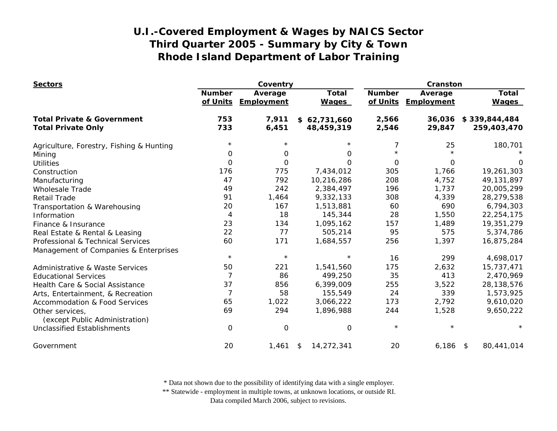| <b>Sectors</b>                                    |                           | Coventry              |                              | Cranston                  |                       |                              |
|---------------------------------------------------|---------------------------|-----------------------|------------------------------|---------------------------|-----------------------|------------------------------|
|                                                   | <b>Number</b><br>of Units | Average<br>Employment | <b>Total</b><br><b>Wages</b> | <b>Number</b><br>of Units | Average<br>Employment | <b>Total</b><br><b>Wages</b> |
| <b>Total Private &amp; Government</b>             | 753                       | 7,911                 | \$62,731,660                 | 2,566                     | 36,036                | \$339,844,484                |
| <b>Total Private Only</b>                         | 733                       | 6,451                 | 48,459,319                   | 2,546                     | 29,847                | 259,403,470                  |
| Agriculture, Forestry, Fishing & Hunting          | $\star$                   |                       |                              | 7                         | 25                    | 180,701                      |
| Mining                                            | 0                         | 0                     | 0                            | $\star$                   |                       |                              |
| <b>Utilities</b>                                  | $\Omega$                  | $\Omega$              | $\Omega$                     | $\Omega$                  | 0                     |                              |
| Construction                                      | 176                       | 775                   | 7,434,012                    | 305                       | 1,766                 | 19,261,303                   |
| Manufacturing                                     | 47                        | 792                   | 10,216,286                   | 208                       | 4,752                 | 49,131,897                   |
| <b>Wholesale Trade</b>                            | 49                        | 242                   | 2,384,497                    | 196                       | 1,737                 | 20,005,299                   |
| <b>Retail Trade</b>                               | 91                        | 1,464                 | 9,332,133                    | 308                       | 4,339                 | 28,279,538                   |
| Transportation & Warehousing                      | 20                        | 167                   | 1,513,881                    | 60                        | 690                   | 6,794,303                    |
| Information                                       | 4                         | 18                    | 145,344                      | 28                        | 1,550                 | 22,254,175                   |
| Finance & Insurance                               | 23                        | 134                   | 1,095,162                    | 157                       | 1,489                 | 19,351,279                   |
| Real Estate & Rental & Leasing                    | 22                        | 77                    | 505,214                      | 95                        | 575                   | 5,374,786                    |
| Professional & Technical Services                 | 60                        | 171                   | 1,684,557                    | 256                       | 1,397                 | 16,875,284                   |
| Management of Companies & Enterprises             |                           |                       |                              |                           |                       |                              |
|                                                   | $\star$                   | $\star$               | $\star$                      | 16                        | 299                   | 4,698,017                    |
| <b>Administrative &amp; Waste Services</b>        | 50                        | 221                   | 1,541,560                    | 175                       | 2,632                 | 15,737,471                   |
| <b>Educational Services</b>                       | 7                         | 86                    | 499,250                      | 35                        | 413                   | 2,470,969                    |
| Health Care & Social Assistance                   | 37                        | 856                   | 6,399,009                    | 255                       | 3,522                 | 28,138,576                   |
| Arts, Entertainment, & Recreation                 | $\overline{7}$            | 58                    | 155,549                      | 24                        | 339                   | 1,573,925                    |
| <b>Accommodation &amp; Food Services</b>          | 65                        | 1,022                 | 3,066,222                    | 173                       | 2,792                 | 9,610,020                    |
| Other services,<br>(except Public Administration) | 69                        | 294                   | 1,896,988                    | 244                       | 1,528                 | 9,650,222                    |
| <b>Unclassified Establishments</b>                | $\Omega$                  | $\mathbf 0$           | 0                            | $\star$                   | $\star$               |                              |
| Government                                        | 20                        | 1,461                 | 14,272,341<br>\$             | 20                        | $6,186$ \$            | 80,441,014                   |

\* Data not shown due to the possibility of identifying data with a single employer.

\*\* Statewide - employment in multiple towns, at unknown locations, or outside RI.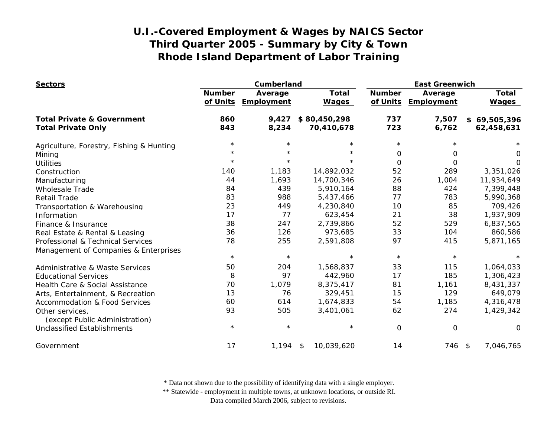| <b>Sectors</b>                                    |                           | Cumberland            |                              | <b>East Greenwich</b>     |                       |                              |
|---------------------------------------------------|---------------------------|-----------------------|------------------------------|---------------------------|-----------------------|------------------------------|
|                                                   | <b>Number</b><br>of Units | Average<br>Employment | <b>Total</b><br><b>Wages</b> | <b>Number</b><br>of Units | Average<br>Employment | <b>Total</b><br><b>Wages</b> |
| <b>Total Private &amp; Government</b>             | 860                       | 9,427                 | \$80,450,298                 | 737                       | 7,507                 | \$69,505,396                 |
| <b>Total Private Only</b>                         | 843                       | 8,234                 | 70,410,678                   | 723                       | 6,762                 | 62,458,631                   |
| Agriculture, Forestry, Fishing & Hunting          | $\star$                   |                       | $\star$                      | $\star$                   | $\star$               |                              |
| Mining                                            | $^\star$                  | $\star$               | $^\star$                     | 0                         | 0                     | 0                            |
| <b>Utilities</b>                                  | $\star$                   | $\star$               | $\star$                      | 0                         | 0                     | $\Omega$                     |
| Construction                                      | 140                       | 1,183                 | 14,892,032                   | 52                        | 289                   | 3,351,026                    |
| Manufacturing                                     | 44                        | 1,693                 | 14,700,346                   | 26                        | 1,004                 | 11,934,649                   |
| <b>Wholesale Trade</b>                            | 84                        | 439                   | 5,910,164                    | 88                        | 424                   | 7,399,448                    |
| <b>Retail Trade</b>                               | 83                        | 988                   | 5,437,466                    | 77                        | 783                   | 5,990,368                    |
| Transportation & Warehousing                      | 23                        | 449                   | 4,230,840                    | 10                        | 85                    | 709,426                      |
| Information                                       | 17                        | 77                    | 623,454                      | 21                        | 38                    | 1,937,909                    |
| Finance & Insurance                               | 38                        | 247                   | 2,739,866                    | 52                        | 529                   | 6,837,565                    |
| Real Estate & Rental & Leasing                    | 36                        | 126                   | 973,685                      | 33                        | 104                   | 860,586                      |
| Professional & Technical Services                 | 78                        | 255                   | 2,591,808                    | 97                        | 415                   | 5,871,165                    |
| Management of Companies & Enterprises             | $\star$                   | $\star$               | $\star$                      | $\star$                   | $\star$               |                              |
|                                                   |                           |                       |                              |                           |                       |                              |
| <b>Administrative &amp; Waste Services</b>        | 50                        | 204                   | 1,568,837                    | 33                        | 115                   | 1,064,033                    |
| <b>Educational Services</b>                       | 8                         | 97                    | 442,960                      | 17                        | 185                   | 1,306,423                    |
| Health Care & Social Assistance                   | 70                        | 1,079                 | 8,375,417                    | 81                        | 1,161                 | 8,431,337                    |
| Arts, Entertainment, & Recreation                 | 13                        | 76                    | 329,451                      | 15                        | 129                   | 649,079                      |
| <b>Accommodation &amp; Food Services</b>          | 60                        | 614                   | 1,674,833                    | 54                        | 1,185                 | 4,316,478                    |
| Other services,<br>(except Public Administration) | 93                        | 505                   | 3,401,061                    | 62                        | 274                   | 1,429,342                    |
| <b>Unclassified Establishments</b>                | $\star$                   | $\star$               | $\star$                      | $\Omega$                  | $\mathbf 0$           | 0                            |
| Government                                        | 17                        | 1,194                 | 10,039,620<br>\$             | 14                        | 746 \$                | 7,046,765                    |

\* Data not shown due to the possibility of identifying data with a single employer.

\*\* Statewide - employment in multiple towns, at unknown locations, or outside RI.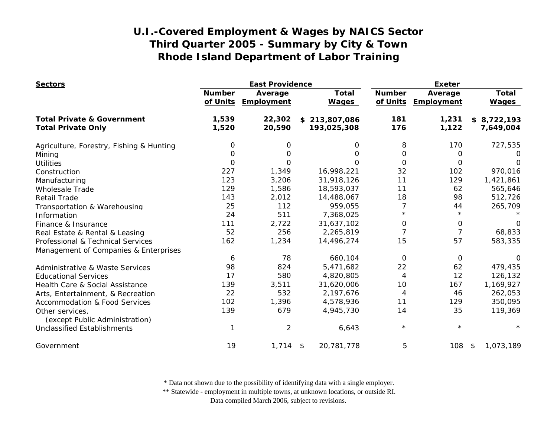| <b>Sectors</b>                                    |                           | <b>East Providence</b> |                              | <b>Exeter</b>  |                                |                              |
|---------------------------------------------------|---------------------------|------------------------|------------------------------|----------------|--------------------------------|------------------------------|
|                                                   | <b>Number</b><br>of Units | Average<br>Employment  | <b>Total</b><br><b>Wages</b> | <b>Number</b>  | Average<br>of Units Employment | <b>Total</b><br><b>Wages</b> |
| <b>Total Private &amp; Government</b>             | 1,539                     | 22,302                 | \$213,807,086                | 181            | 1,231                          | \$8,722,193                  |
| <b>Total Private Only</b>                         | 1,520                     | 20,590                 | 193,025,308                  | 176            | 1,122                          | 7,649,004                    |
| Agriculture, Forestry, Fishing & Hunting          | 0                         | 0                      | O                            | 8              | 170                            | 727,535                      |
| Mining                                            | O                         | 0                      | $\Omega$                     | 0              | 0                              | O                            |
| <b>Utilities</b>                                  | $\mathbf 0$               | 0                      | 0                            | $\mathbf 0$    | 0                              | O                            |
| Construction                                      | 227                       | 1,349                  | 16,998,221                   | 32             | 102                            | 970,016                      |
| Manufacturing                                     | 123                       | 3,206                  | 31,918,126                   | 11             | 129                            | 1,421,861                    |
| <b>Wholesale Trade</b>                            | 129                       | 1,586                  | 18,593,037                   | 11             | 62                             | 565,646                      |
| <b>Retail Trade</b>                               | 143                       | 2,012                  | 14,488,067                   | 18             | 98                             | 512,726                      |
| Transportation & Warehousing                      | 25                        | 112                    | 959,055                      | 7              | 44                             | 265,709                      |
| Information                                       | 24                        | 511                    | 7,368,025                    | $^\star$       | $\star$                        |                              |
| Finance & Insurance                               | 111                       | 2,722                  | 31,637,102                   | 0              | 0                              | 0                            |
| Real Estate & Rental & Leasing                    | 52                        | 256                    | 2,265,819                    | $\overline{7}$ | $\overline{7}$                 | 68,833                       |
| Professional & Technical Services                 | 162                       | 1,234                  | 14,496,274                   | 15             | 57                             | 583,335                      |
| Management of Companies & Enterprises             |                           |                        |                              |                |                                |                              |
|                                                   | 6                         | 78                     | 660,104                      | 0              | 0                              | $\Omega$                     |
| <b>Administrative &amp; Waste Services</b>        | 98                        | 824                    | 5,471,682                    | 22             | 62                             | 479,435                      |
| <b>Educational Services</b>                       | 17                        | 580                    | 4,820,805                    | 4              | 12                             | 126,132                      |
| Health Care & Social Assistance                   | 139                       | 3,511                  | 31,620,006                   | 10             | 167                            | 1,169,927                    |
| Arts, Entertainment, & Recreation                 | 22                        | 532                    | 2,197,676                    | 4              | 46                             | 262,053                      |
| <b>Accommodation &amp; Food Services</b>          | 102                       | 1,396                  | 4,578,936                    | 11             | 129                            | 350,095                      |
| Other services,<br>(except Public Administration) | 139                       | 679                    | 4,945,730                    | 14             | 35                             | 119,369                      |
| <b>Unclassified Establishments</b>                |                           | $\overline{2}$         | 6,643                        | $^\star$       | $\star$                        |                              |
| Government                                        | 19                        | 1,714                  | 20,781,778<br>$\sqrt{2}$     | 5              | 108                            | 1,073,189<br>\$              |

\* Data not shown due to the possibility of identifying data with a single employer.

\*\* Statewide - employment in multiple towns, at unknown locations, or outside RI.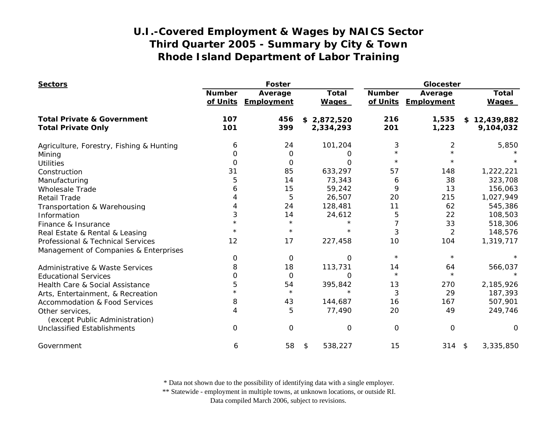| <b>Sectors</b>                                    |                           | <b>Foster</b>         |                              |                           | Glocester             |                              |  |
|---------------------------------------------------|---------------------------|-----------------------|------------------------------|---------------------------|-----------------------|------------------------------|--|
|                                                   | <b>Number</b><br>of Units | Average<br>Employment | <b>Total</b><br><b>Wages</b> | <b>Number</b><br>of Units | Average<br>Employment | <b>Total</b><br><b>Wages</b> |  |
| <b>Total Private &amp; Government</b>             | 107                       | 456                   | \$2,872,520                  | 216                       | 1,535                 | \$12,439,882                 |  |
| <b>Total Private Only</b>                         | 101                       | 399                   | 2,334,293                    | 201                       | 1,223                 | 9,104,032                    |  |
| Agriculture, Forestry, Fishing & Hunting          | 6                         | 24                    | 101,204                      | 3                         | $\overline{2}$        | 5,850                        |  |
| Mining                                            | 0                         | 0                     | O                            | $\star$                   |                       |                              |  |
| <b>Utilities</b>                                  | 0                         | $\Omega$              | $\Omega$                     | $\star$                   |                       |                              |  |
| Construction                                      | 31                        | 85                    | 633,297                      | 57                        | 148                   | 1,222,221                    |  |
| Manufacturing                                     | 5                         | 14                    | 73,343                       | 6                         | 38                    | 323,708                      |  |
| <b>Wholesale Trade</b>                            | 6                         | 15                    | 59,242                       | 9                         | 13                    | 156,063                      |  |
| <b>Retail Trade</b>                               |                           | 5                     | 26,507                       | 20                        | 215                   | 1,027,949                    |  |
| Transportation & Warehousing                      |                           | 24                    | 128,481                      | 11                        | 62                    | 545,386                      |  |
| Information                                       | 3                         | 14                    | 24,612                       | 5                         | 22                    | 108,503                      |  |
| Finance & Insurance                               |                           | $\star$               |                              | 7                         | 33                    | 518,306                      |  |
| Real Estate & Rental & Leasing                    |                           | $^\star$              | $\star$                      | 3                         | $\overline{2}$        | 148,576                      |  |
| Professional & Technical Services                 | 12                        | 17                    | 227,458                      | 10                        | 104                   | 1,319,717                    |  |
| Management of Companies & Enterprises             |                           |                       |                              |                           |                       |                              |  |
|                                                   | 0                         | 0                     | $\Omega$                     | $\star$                   | $\star$               |                              |  |
| <b>Administrative &amp; Waste Services</b>        | 8                         | 18                    | 113,731                      | 14                        | 64                    | 566,037                      |  |
| <b>Educational Services</b>                       | 0                         | 0                     | $\Omega$                     | $\star$                   | $\star$               |                              |  |
| Health Care & Social Assistance                   | 5                         | 54                    | 395,842                      | 13                        | 270                   | 2,185,926                    |  |
| Arts, Entertainment, & Recreation                 |                           | $\star$               | $\star$                      | 3                         | 29                    | 187,393                      |  |
| <b>Accommodation &amp; Food Services</b>          | 8                         | 43                    | 144,687                      | 16                        | 167                   | 507,901                      |  |
| Other services,<br>(except Public Administration) | 4                         | 5                     | 77,490                       | 20                        | 49                    | 249,746                      |  |
| <b>Unclassified Establishments</b>                | $\Omega$                  | 0                     | O                            | 0                         | $\mathbf 0$           | O                            |  |
| Government                                        | 6                         | 58                    | 538,227<br>\$                | 15                        | $314$ \$              | 3,335,850                    |  |

\* Data not shown due to the possibility of identifying data with a single employer.

\*\* Statewide - employment in multiple towns, at unknown locations, or outside RI.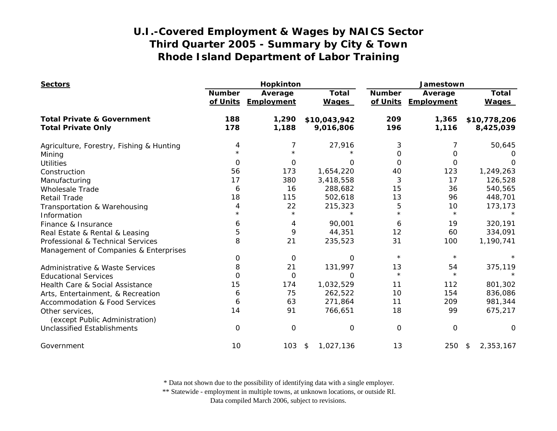| <b>Sectors</b>                                    |                           | Hopkinton             |                              | Jamestown                 |                       |                              |
|---------------------------------------------------|---------------------------|-----------------------|------------------------------|---------------------------|-----------------------|------------------------------|
|                                                   | <b>Number</b><br>of Units | Average<br>Employment | <b>Total</b><br><b>Wages</b> | <b>Number</b><br>of Units | Average<br>Employment | <b>Total</b><br><b>Wages</b> |
| <b>Total Private &amp; Government</b>             | 188                       | 1,290                 | \$10,043,942                 | 209                       | 1,365                 | \$10,778,206                 |
| <b>Total Private Only</b>                         | 178                       | 1,188                 | 9,016,806                    | 196                       | 1,116                 | 8,425,039                    |
| Agriculture, Forestry, Fishing & Hunting          | 4                         | 7                     | 27,916                       | 3                         |                       | 50,645                       |
| Mining                                            |                           |                       |                              | 0                         | 0                     |                              |
| <b>Utilities</b>                                  | $\Omega$                  | 0                     | $\Omega$                     | $\Omega$                  | 0                     | ∩                            |
| Construction                                      | 56                        | 173                   | 1,654,220                    | 40                        | 123                   | 1,249,263                    |
| Manufacturing                                     | 17                        | 380                   | 3,418,558                    | 3                         | 17                    | 126,528                      |
| <b>Wholesale Trade</b>                            | 6                         | 16                    | 288,682                      | 15                        | 36                    | 540,565                      |
| <b>Retail Trade</b>                               | 18                        | 115                   | 502,618                      | 13                        | 96                    | 448,701                      |
| Transportation & Warehousing                      | 4                         | 22                    | 215,323                      | 5                         | 10                    | 173,173                      |
| Information                                       | $^\star$                  | $\star$               |                              | $\star$                   | $\star$               |                              |
| Finance & Insurance                               | 6                         | 4                     | 90,001                       | 6                         | 19                    | 320,191                      |
| Real Estate & Rental & Leasing                    | 5                         | 9                     | 44,351                       | 12                        | 60                    | 334,091                      |
| Professional & Technical Services                 | 8                         | 21                    | 235,523                      | 31                        | 100                   | 1,190,741                    |
| Management of Companies & Enterprises             |                           |                       |                              |                           |                       |                              |
|                                                   | 0                         | 0                     | 0                            | $\star$                   | $\star$               |                              |
| <b>Administrative &amp; Waste Services</b>        | 8                         | 21                    | 131,997                      | 13                        | 54                    | 375,119                      |
| <b>Educational Services</b>                       | 0                         | 0                     | O                            | $\star$                   | $\star$               |                              |
| Health Care & Social Assistance                   | 15                        | 174                   | 1,032,529                    | 11                        | 112                   | 801,302                      |
| Arts, Entertainment, & Recreation                 | 6                         | 75                    | 262,522                      | 10                        | 154                   | 836,086                      |
| <b>Accommodation &amp; Food Services</b>          | 6                         | 63                    | 271,864                      | 11                        | 209                   | 981,344                      |
| Other services,<br>(except Public Administration) | 14                        | 91                    | 766,651                      | 18                        | 99                    | 675,217                      |
| Unclassified Establishments                       | $\Omega$                  | 0                     | 0                            | 0                         | $\Omega$              | $\Omega$                     |
| Government                                        | 10                        | 103                   | 1,027,136<br>\$              | 13                        | 250                   | 2,353,167<br>\$              |

\* Data not shown due to the possibility of identifying data with a single employer.

\*\* Statewide - employment in multiple towns, at unknown locations, or outside RI.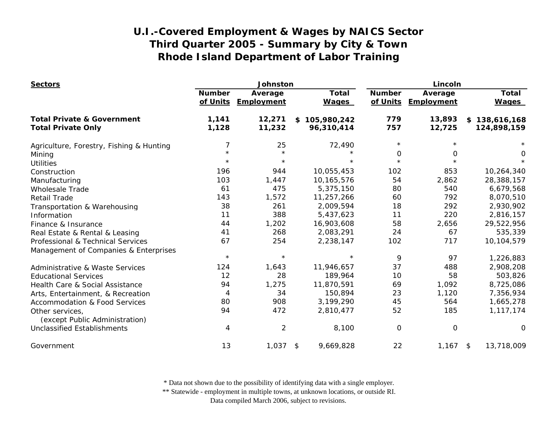| <b>Sectors</b>                                    |                           | Johnston              |                              |                           | Lincoln               |                              |  |
|---------------------------------------------------|---------------------------|-----------------------|------------------------------|---------------------------|-----------------------|------------------------------|--|
|                                                   | <b>Number</b><br>of Units | Average<br>Employment | <b>Total</b><br><b>Wages</b> | <b>Number</b><br>of Units | Average<br>Employment | <b>Total</b><br><b>Wages</b> |  |
| <b>Total Private &amp; Government</b>             | 1,141                     | 12,271                | \$105,980,242                | 779                       | 13,893                | \$138,616,168                |  |
| <b>Total Private Only</b>                         | 1,128                     | 11,232                | 96,310,414                   | 757                       | 12,725                | 124,898,159                  |  |
| Agriculture, Forestry, Fishing & Hunting          | 7                         | 25                    | 72,490                       | $\star$                   |                       |                              |  |
| Mining                                            |                           | $\star$               | $\star$                      | 0                         | 0                     | 0                            |  |
| <b>Utilities</b>                                  | $\star$                   | $\star$               | $\star$                      | $\star$                   | $\star$               | $\star$                      |  |
| Construction                                      | 196                       | 944                   | 10,055,453                   | 102                       | 853                   | 10,264,340                   |  |
| Manufacturing                                     | 103                       | 1,447                 | 10,165,576                   | 54                        | 2,862                 | 28,388,157                   |  |
| <b>Wholesale Trade</b>                            | 61                        | 475                   | 5,375,150                    | 80                        | 540                   | 6,679,568                    |  |
| Retail Trade                                      | 143                       | 1,572                 | 11,257,266                   | 60                        | 792                   | 8,070,510                    |  |
| Transportation & Warehousing                      | 38                        | 261                   | 2,009,594                    | 18                        | 292                   | 2,930,902                    |  |
| Information                                       | 11                        | 388                   | 5,437,623                    | 11                        | 220                   | 2,816,157                    |  |
| Finance & Insurance                               | 44                        | 1,202                 | 16,903,608                   | 58                        | 2,656                 | 29,522,956                   |  |
| Real Estate & Rental & Leasing                    | 41                        | 268                   | 2,083,291                    | 24                        | 67                    | 535,339                      |  |
| Professional & Technical Services                 | 67                        | 254                   | 2,238,147                    | 102                       | 717                   | 10,104,579                   |  |
| Management of Companies & Enterprises             |                           |                       |                              |                           |                       |                              |  |
|                                                   | $\star$                   | $\star$               | $\star$                      | 9                         | 97                    | 1,226,883                    |  |
| <b>Administrative &amp; Waste Services</b>        | 124                       | 1,643                 | 11,946,657                   | 37                        | 488                   | 2,908,208                    |  |
| <b>Educational Services</b>                       | 12                        | 28                    | 189,964                      | 10                        | 58                    | 503,826                      |  |
| Health Care & Social Assistance                   | 94                        | 1,275                 | 11,870,591                   | 69                        | 1,092                 | 8,725,086                    |  |
| Arts, Entertainment, & Recreation                 | 4                         | 34                    | 150,894                      | 23                        | 1,120                 | 7,356,934                    |  |
| <b>Accommodation &amp; Food Services</b>          | 80                        | 908                   | 3,199,290                    | 45                        | 564                   | 1,665,278                    |  |
| Other services,<br>(except Public Administration) | 94                        | 472                   | 2,810,477                    | 52                        | 185                   | 1,117,174                    |  |
| Unclassified Establishments                       | 4                         | 2                     | 8,100                        | O                         | 0                     | 0                            |  |
| Government                                        | 13                        | 1,037                 | 9,669,828<br>\$              | 22                        | $1,167$ \$            | 13,718,009                   |  |

\* Data not shown due to the possibility of identifying data with a single employer.

\*\* Statewide - employment in multiple towns, at unknown locations, or outside RI.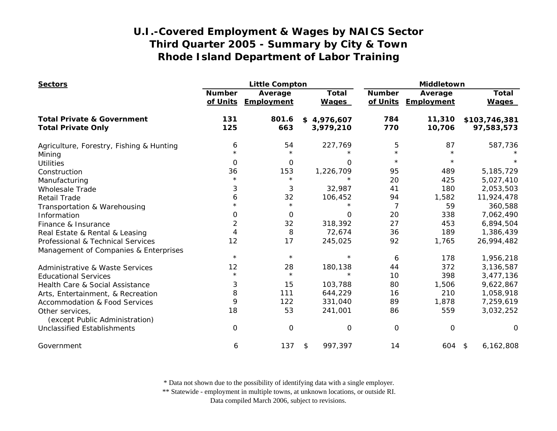| <b>Sectors</b>                                                                                |                           | <b>Little Compton</b> |                              |                           | Middletown            |                              |  |
|-----------------------------------------------------------------------------------------------|---------------------------|-----------------------|------------------------------|---------------------------|-----------------------|------------------------------|--|
|                                                                                               | <b>Number</b><br>of Units | Average<br>Employment | <b>Total</b><br><b>Wages</b> | <b>Number</b><br>of Units | Average<br>Employment | <b>Total</b><br><b>Wages</b> |  |
| <b>Total Private &amp; Government</b><br><b>Total Private Only</b>                            | 131<br>125                | 801.6<br>663          | \$4,976,607<br>3,979,210     | 784<br>770                | 11,310<br>10,706      | \$103,746,381<br>97,583,573  |  |
| Agriculture, Forestry, Fishing & Hunting<br>Mining                                            | 6                         | 54<br>$\star$         | 227,769                      | 5<br>$\star$              | 87<br>$\star$         | 587,736                      |  |
| <b>Utilities</b>                                                                              | $\Omega$                  | $\mathbf 0$           | $\Omega$                     | $^\star$                  | $\star$               |                              |  |
| Construction                                                                                  | 36                        | 153                   | 1,226,709                    | 95                        | 489                   | 5,185,729                    |  |
| Manufacturing                                                                                 | $\star$                   | $\star$               | $\star$                      | 20                        | 425                   | 5,027,410                    |  |
| <b>Wholesale Trade</b>                                                                        | 3                         | 3                     | 32,987                       | 41                        | 180                   | 2,053,503                    |  |
| <b>Retail Trade</b>                                                                           | 6                         | 32                    | 106,452                      | 94                        | 1,582                 | 11,924,478                   |  |
| Transportation & Warehousing                                                                  |                           | $\star$               |                              | 7                         | 59                    | 360,588                      |  |
| Information                                                                                   | 0                         | 0                     | O                            | 20                        | 338                   | 7,062,490                    |  |
| Finance & Insurance                                                                           | $\overline{c}$            | 32                    | 318,392                      | 27                        | 453                   | 6,894,504                    |  |
| Real Estate & Rental & Leasing                                                                | 4                         | 8                     | 72,674                       | 36                        | 189                   | 1,386,439                    |  |
| Professional & Technical Services                                                             | 12                        | 17                    | 245,025                      | 92                        | 1,765                 | 26,994,482                   |  |
| Management of Companies & Enterprises                                                         | $\star$                   | $\star$               | $\star$                      | 6                         | 178                   | 1,956,218                    |  |
|                                                                                               | 12                        | 28                    | 180,138                      | 44                        | 372                   | 3,136,587                    |  |
| Administrative & Waste Services<br><b>Educational Services</b>                                | $\star$                   | $\star$               | $\star$                      | 10                        | 398                   | 3,477,136                    |  |
| Health Care & Social Assistance                                                               | 3                         | 15                    | 103,788                      | 80                        | 1,506                 | 9,622,867                    |  |
|                                                                                               | 8                         | 111                   | 644,229                      | 16                        | 210                   | 1,058,918                    |  |
| Arts, Entertainment, & Recreation                                                             | 9                         | 122                   | 331,040                      | 89                        | 1,878                 | 7,259,619                    |  |
| <b>Accommodation &amp; Food Services</b><br>Other services,<br>(except Public Administration) | 18                        | 53                    | 241,001                      | 86                        | 559                   | 3,032,252                    |  |
| <b>Unclassified Establishments</b>                                                            | 0                         | $\mathbf 0$           | O                            | $\mathbf 0$               | $\mathbf 0$           | $\Omega$                     |  |
| Government                                                                                    | 6                         | 137                   | \$<br>997,397                | 14                        | 604                   | 6,162,808<br>\$              |  |

\* Data not shown due to the possibility of identifying data with a single employer.

\*\* Statewide - employment in multiple towns, at unknown locations, or outside RI.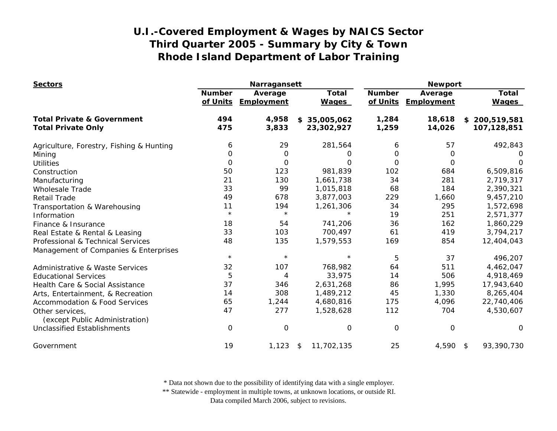| <b>Sectors</b>                                    |                           | Narragansett          |                              | <b>Newport</b>            |                       |                              |
|---------------------------------------------------|---------------------------|-----------------------|------------------------------|---------------------------|-----------------------|------------------------------|
|                                                   | <b>Number</b><br>of Units | Average<br>Employment | <b>Total</b><br><b>Wages</b> | <b>Number</b><br>of Units | Average<br>Employment | <b>Total</b><br><b>Wages</b> |
| <b>Total Private &amp; Government</b>             | 494                       | 4,958                 | 35,005,062<br>\$             | 1,284                     | 18,618                | \$200,519,581                |
| <b>Total Private Only</b>                         | 475                       | 3,833                 | 23,302,927                   | 1,259                     | 14,026                | 107,128,851                  |
| Agriculture, Forestry, Fishing & Hunting          | 6                         | 29                    | 281,564                      | 6                         | 57                    | 492,843                      |
| Mining                                            | 0                         | 0                     | O                            | 0                         | 0                     | $\mathbf{O}$                 |
| <b>Utilities</b>                                  | $\Omega$                  | 0                     | Ω                            | $\Omega$                  | $\Omega$              | O                            |
| Construction                                      | 50                        | 123                   | 981,839                      | 102                       | 684                   | 6,509,816                    |
| Manufacturing                                     | 21                        | 130                   | 1,661,738                    | 34                        | 281                   | 2,719,317                    |
| <b>Wholesale Trade</b>                            | 33                        | 99                    | 1,015,818                    | 68                        | 184                   | 2,390,321                    |
| <b>Retail Trade</b>                               | 49                        | 678                   | 3,877,003                    | 229                       | 1,660                 | 9,457,210                    |
| Transportation & Warehousing                      | 11                        | 194                   | 1,261,306                    | 34                        | 295                   | 1,572,698                    |
| Information                                       | $\star$                   | $\star$               |                              | 19                        | 251                   | 2,571,377                    |
| Finance & Insurance                               | 18                        | 54                    | 741,206                      | 36                        | 162                   | 1,860,229                    |
| Real Estate & Rental & Leasing                    | 33                        | 103                   | 700,497                      | 61                        | 419                   | 3,794,217                    |
| Professional & Technical Services                 | 48                        | 135                   | 1,579,553                    | 169                       | 854                   | 12,404,043                   |
| Management of Companies & Enterprises             |                           |                       |                              |                           |                       |                              |
|                                                   | $\star$                   | $\star$               | $\star$                      | 5                         | 37                    | 496,207                      |
| Administrative & Waste Services                   | 32                        | 107                   | 768,982                      | 64                        | 511                   | 4,462,047                    |
| <b>Educational Services</b>                       | 5                         | 4                     | 33,975                       | 14                        | 506                   | 4,918,469                    |
| Health Care & Social Assistance                   | 37                        | 346                   | 2,631,268                    | 86                        | 1,995                 | 17,943,640                   |
| Arts, Entertainment, & Recreation                 | 14                        | 308                   | 1,489,212                    | 45                        | 1,330                 | 8,265,404                    |
| <b>Accommodation &amp; Food Services</b>          | 65                        | 1,244                 | 4,680,816                    | 175                       | 4,096                 | 22,740,406                   |
| Other services,<br>(except Public Administration) | 47                        | 277                   | 1,528,628                    | 112                       | 704                   | 4,530,607                    |
| <b>Unclassified Establishments</b>                | 0                         | $\mathbf 0$           | 0                            | $\overline{O}$            | 0                     | $\Omega$                     |
| Government                                        | 19                        | 1,123                 | 11,702,135<br>\$             | 25                        | 4,590                 | 93,390,730<br>- \$           |

\* Data not shown due to the possibility of identifying data with a single employer.

\*\* Statewide - employment in multiple towns, at unknown locations, or outside RI.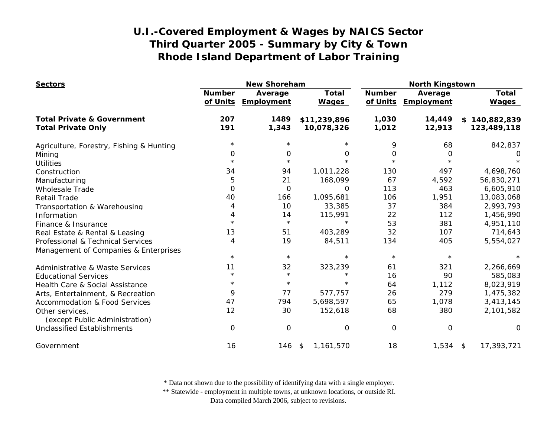| <b>Sectors</b>                                    |                           | <b>New Shoreham</b>          |                              | <b>North Kingstown</b>    |                       |                              |
|---------------------------------------------------|---------------------------|------------------------------|------------------------------|---------------------------|-----------------------|------------------------------|
|                                                   | <b>Number</b><br>of Units | Average<br><b>Employment</b> | <b>Total</b><br><b>Wages</b> | <b>Number</b><br>of Units | Average<br>Employment | <b>Total</b><br><b>Wages</b> |
| <b>Total Private &amp; Government</b>             | 207                       | 1489                         | \$11,239,896                 | 1,030                     | 14,449                | 140,882,839<br>\$            |
| <b>Total Private Only</b>                         | 191                       | 1,343                        | 10,078,326                   | 1,012                     | 12,913                | 123,489,118                  |
| Agriculture, Forestry, Fishing & Hunting          | $\star$                   | $\star$                      |                              | 9                         | 68                    | 842,837                      |
| Mining                                            | 0                         | 0                            | $\Omega$                     | 0                         | 0                     | O                            |
| <b>Utilities</b>                                  | $\star$                   | $\star$                      |                              | $\star$                   |                       |                              |
| Construction                                      | 34                        | 94                           | 1,011,228                    | 130                       | 497                   | 4,698,760                    |
| Manufacturing                                     | 5                         | 21                           | 168,099                      | 67                        | 4,592                 | 56,830,271                   |
| <b>Wholesale Trade</b>                            | $\mathbf 0$               | 0                            | $\Omega$                     | 113                       | 463                   | 6,605,910                    |
| <b>Retail Trade</b>                               | 40                        | 166                          | 1,095,681                    | 106                       | 1,951                 | 13,083,068                   |
| Transportation & Warehousing                      | 4                         | 10                           | 33,385                       | 37                        | 384                   | 2,993,793                    |
| Information                                       | 4                         | 14                           | 115,991                      | 22                        | 112                   | 1,456,990                    |
| Finance & Insurance                               | $\star$                   | $\star$                      | $\star$                      | 53                        | 381                   | 4,951,110                    |
| Real Estate & Rental & Leasing                    | 13                        | 51                           | 403,289                      | 32                        | 107                   | 714,643                      |
| Professional & Technical Services                 | 4                         | 19                           | 84,511                       | 134                       | 405                   | 5,554,027                    |
| Management of Companies & Enterprises             |                           |                              |                              |                           |                       |                              |
|                                                   | $\star$                   | $\star$                      | $\star$                      | $\star$                   | $\star$               |                              |
| <b>Administrative &amp; Waste Services</b>        | 11                        | 32                           | 323,239                      | 61                        | 321                   | 2,266,669                    |
| <b>Educational Services</b>                       | $\star$                   | $\star$                      | $\star$                      | 16                        | 90                    | 585,083                      |
| Health Care & Social Assistance                   | $\star$                   | $\star$                      | $\star$                      | 64                        | 1,112                 | 8,023,919                    |
| Arts, Entertainment, & Recreation                 | 9                         | 77                           | 577,757                      | 26                        | 279                   | 1,475,382                    |
| <b>Accommodation &amp; Food Services</b>          | 47                        | 794                          | 5,698,597                    | 65                        | 1,078                 | 3,413,145                    |
| Other services,<br>(except Public Administration) | 12                        | 30                           | 152,618                      | 68                        | 380                   | 2,101,582                    |
| <b>Unclassified Establishments</b>                | 0                         | 0                            | $\Omega$                     | $\Omega$                  | 0                     | 0                            |
| Government                                        | 16                        | 146 \$                       | 1,161,570                    | 18                        | $1,534$ \$            | 17,393,721                   |

\* Data not shown due to the possibility of identifying data with a single employer.

\*\* Statewide - employment in multiple towns, at unknown locations, or outside RI.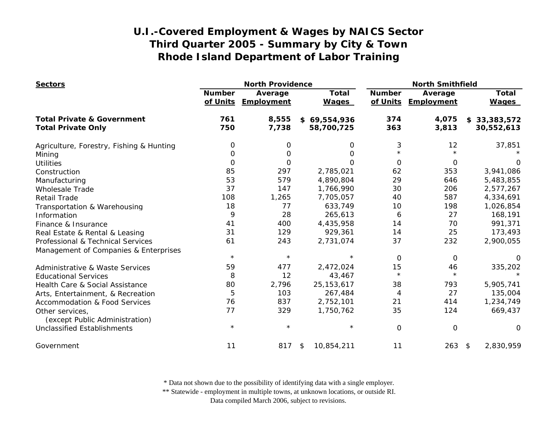| <b>Sectors</b>                             | <b>North Providence</b>   |                       |                              | <b>North Smithfield</b>   |                       |                              |
|--------------------------------------------|---------------------------|-----------------------|------------------------------|---------------------------|-----------------------|------------------------------|
|                                            | <b>Number</b><br>of Units | Average<br>Employment | <b>Total</b><br><b>Wages</b> | <b>Number</b><br>of Units | Average<br>Employment | <b>Total</b><br><b>Wages</b> |
| <b>Total Private &amp; Government</b>      | 761                       | 8,555                 | \$69,554,936                 | 374                       | 4,075                 | \$33,383,572                 |
| <b>Total Private Only</b>                  | 750                       | 7,738                 | 58,700,725                   | 363                       | 3,813                 | 30,552,613                   |
| Agriculture, Forestry, Fishing & Hunting   | 0                         | 0                     | 0                            | 3                         | 12                    | 37,851                       |
| Mining                                     | 0                         | O                     | O                            |                           |                       |                              |
| <b>Utilities</b>                           | $\Omega$                  | 0                     | $\Omega$                     | $\Omega$                  | 0                     | O                            |
| Construction                               | 85                        | 297                   | 2,785,021                    | 62                        | 353                   | 3,941,086                    |
| Manufacturing                              | 53                        | 579                   | 4,890,804                    | 29                        | 646                   | 5,483,855                    |
| <b>Wholesale Trade</b>                     | 37                        | 147                   | 1,766,990                    | 30                        | 206                   | 2,577,267                    |
| <b>Retail Trade</b>                        | 108                       | 1,265                 | 7,705,057                    | 40                        | 587                   | 4,334,691                    |
| Transportation & Warehousing               | 18                        | 77                    | 633,749                      | 10                        | 198                   | 1,026,854                    |
| Information                                | 9                         | 28                    | 265,613                      | 6                         | 27                    | 168,191                      |
| Finance & Insurance                        | 41                        | 400                   | 4,435,958                    | 14                        | 70                    | 991,371                      |
| Real Estate & Rental & Leasing             | 31                        | 129                   | 929,361                      | 14                        | 25                    | 173,493                      |
| Professional & Technical Services          | 61                        | 243                   | 2,731,074                    | 37                        | 232                   | 2,900,055                    |
| Management of Companies & Enterprises      |                           |                       |                              |                           |                       |                              |
|                                            | $\star$                   | $\star$               | $\star$                      | $\Omega$                  | $\Omega$              |                              |
| <b>Administrative &amp; Waste Services</b> | 59                        | 477                   | 2,472,024                    | 15                        | 46                    | 335,202                      |
| <b>Educational Services</b>                | 8                         | 12                    | 43,467                       | $\star$                   | $\star$               |                              |
| Health Care & Social Assistance            | 80                        | 2,796                 | 25, 153, 617                 | 38                        | 793                   | 5,905,741                    |
| Arts, Entertainment, & Recreation          | 5                         | 103                   | 267,484                      | $\overline{4}$            | 27                    | 135,004                      |
| <b>Accommodation &amp; Food Services</b>   | 76                        | 837                   | 2,752,101                    | 21                        | 414                   | 1,234,749                    |
| Other services,                            | 77                        | 329                   | 1,750,762                    | 35                        | 124                   | 669,437                      |
| (except Public Administration)             |                           |                       |                              |                           |                       |                              |
| <b>Unclassified Establishments</b>         | $^\star$                  | $\star$               | $\star$                      | $\Omega$                  | $\mathbf 0$           | $\Omega$                     |
| Government                                 | 11                        | 817                   | 10,854,211<br>\$             | 11                        | $263$ \$              | 2,830,959                    |

\* Data not shown due to the possibility of identifying data with a single employer.

\*\* Statewide - employment in multiple towns, at unknown locations, or outside RI.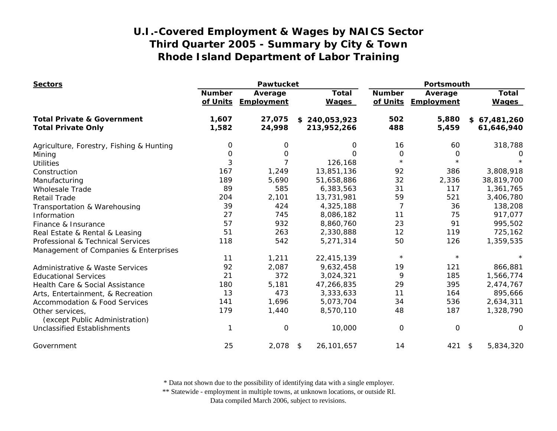| <b>Sectors</b>                                    | <b>Pawtucket</b>          |                       |                              | Portsmouth                |                       |                              |
|---------------------------------------------------|---------------------------|-----------------------|------------------------------|---------------------------|-----------------------|------------------------------|
|                                                   | <b>Number</b><br>of Units | Average<br>Employment | <b>Total</b><br><b>Wages</b> | <b>Number</b><br>of Units | Average<br>Employment | <b>Total</b><br><b>Wages</b> |
| <b>Total Private &amp; Government</b>             | 1,607                     | 27,075                | \$240,053,923                | 502                       | 5,880                 | \$67,481,260                 |
| <b>Total Private Only</b>                         | 1,582                     | 24,998                | 213,952,266                  | 488                       | 5,459                 | 61,646,940                   |
| Agriculture, Forestry, Fishing & Hunting          | 0                         | 0                     | 0                            | 16                        | 60                    | 318,788                      |
| Mining                                            | $\mathbf 0$               | O                     | O                            | $\mathbf 0$               | $\mathbf 0$           | 0                            |
| <b>Utilities</b>                                  | 3                         | $\overline{7}$        | 126,168                      | $\star$                   | $\star$               |                              |
| Construction                                      | 167                       | 1,249                 | 13,851,136                   | 92                        | 386                   | 3,808,918                    |
| Manufacturing                                     | 189                       | 5,690                 | 51,658,886                   | 32                        | 2,336                 | 38,819,700                   |
| <b>Wholesale Trade</b>                            | 89                        | 585                   | 6,383,563                    | 31                        | 117                   | 1,361,765                    |
| <b>Retail Trade</b>                               | 204                       | 2,101                 | 13,731,981                   | 59                        | 521                   | 3,406,780                    |
| Transportation & Warehousing                      | 39                        | 424                   | 4,325,188                    | $\overline{7}$            | 36                    | 138,208                      |
| Information                                       | 27                        | 745                   | 8,086,182                    | 11                        | 75                    | 917,077                      |
| Finance & Insurance                               | 57                        | 932                   | 8,860,760                    | 23                        | 91                    | 995,502                      |
| Real Estate & Rental & Leasing                    | 51                        | 263                   | 2,330,888                    | 12                        | 119                   | 725,162                      |
| Professional & Technical Services                 | 118                       | 542                   | 5,271,314                    | 50                        | 126                   | 1,359,535                    |
| Management of Companies & Enterprises             |                           |                       |                              |                           |                       |                              |
|                                                   | 11                        | 1,211                 | 22,415,139                   | $\star$                   | $\star$               |                              |
| <b>Administrative &amp; Waste Services</b>        | 92                        | 2,087                 | 9,632,458                    | 19                        | 121                   | 866,881                      |
| <b>Educational Services</b>                       | 21                        | 372                   | 3,024,321                    | 9                         | 185                   | 1,566,774                    |
| Health Care & Social Assistance                   | 180                       | 5,181                 | 47,266,835                   | 29                        | 395                   | 2,474,767                    |
| Arts, Entertainment, & Recreation                 | 13                        | 473                   | 3,333,633                    | 11                        | 164                   | 895,666                      |
| <b>Accommodation &amp; Food Services</b>          | 141                       | 1,696                 | 5,073,704                    | 34                        | 536                   | 2,634,311                    |
| Other services,<br>(except Public Administration) | 179                       | 1,440                 | 8,570,110                    | 48                        | 187                   | 1,328,790                    |
| <b>Unclassified Establishments</b>                |                           | $\mathsf{O}\xspace$   | 10,000                       | 0                         | $\mathbf 0$           | O                            |
| Government                                        | 25                        | 2,078                 | 26, 101, 657<br>\$           | 14                        | 421                   | \$<br>5,834,320              |

\* Data not shown due to the possibility of identifying data with a single employer.

\*\* Statewide - employment in multiple towns, at unknown locations, or outside RI.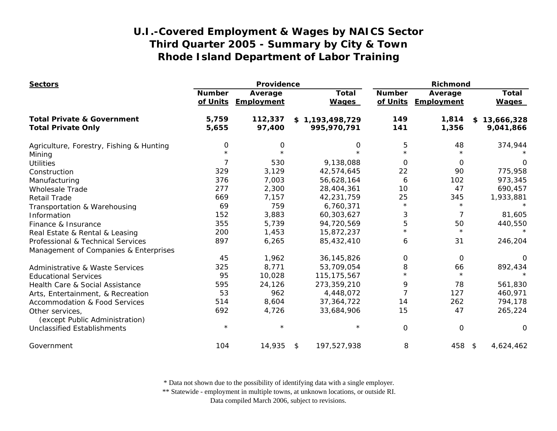| <b>Sectors</b>                                    |                           | Providence            |                              |                           | Richmond              |                                      |  |
|---------------------------------------------------|---------------------------|-----------------------|------------------------------|---------------------------|-----------------------|--------------------------------------|--|
|                                                   | <b>Number</b><br>of Units | Average<br>Employment | <b>Total</b><br><b>Wages</b> | <b>Number</b><br>of Units | Average<br>Employment | <b>Total</b><br><b>Wages</b>         |  |
| <b>Total Private &amp; Government</b>             | 5,759                     | 112,337               | \$1,193,498,729              | 149                       | 1,814                 | \$<br>13,666,328                     |  |
| <b>Total Private Only</b>                         | 5,655                     | 97,400                | 995,970,791                  | 141                       | 1,356                 | 9,041,866                            |  |
| Agriculture, Forestry, Fishing & Hunting          | 0                         | 0                     | 0                            | 5                         | 48                    | 374,944                              |  |
| Mining                                            |                           |                       |                              | $\star$                   |                       |                                      |  |
| <b>Utilities</b>                                  | 7                         | 530                   | 9,138,088                    | $\Omega$                  | $\Omega$              | O                                    |  |
| Construction                                      | 329                       | 3,129                 | 42,574,645                   | 22                        | 90                    | 775,958                              |  |
| Manufacturing                                     | 376                       | 7,003                 | 56,628,164                   | 6                         | 102                   | 973,345                              |  |
| <b>Wholesale Trade</b>                            | 277                       | 2,300                 | 28,404,361                   | 10                        | 47                    | 690,457                              |  |
| <b>Retail Trade</b>                               | 669                       | 7,157                 | 42,231,759                   | 25                        | 345                   | 1,933,881                            |  |
| Transportation & Warehousing                      | 69                        | 759                   | 6,760,371                    | $\star$                   | $\star$               |                                      |  |
| Information                                       | 152                       | 3,883                 | 60,303,627                   | 3                         | 7                     | 81,605                               |  |
| Finance & Insurance                               | 355                       | 5,739                 | 94,720,569                   | 5                         | 50                    | 440,550                              |  |
| Real Estate & Rental & Leasing                    | 200                       | 1,453                 | 15,872,237                   | $\star$                   | $\star$               | $\star$                              |  |
| Professional & Technical Services                 | 897                       | 6,265                 | 85,432,410                   | 6                         | 31                    | 246,204                              |  |
| Management of Companies & Enterprises             |                           |                       |                              |                           |                       |                                      |  |
|                                                   | 45                        | 1,962                 | 36, 145, 826                 | 0                         | 0                     | 0                                    |  |
| <b>Administrative &amp; Waste Services</b>        | 325                       | 8,771                 | 53,709,054                   | 8                         | 66                    | 892,434                              |  |
| <b>Educational Services</b>                       | 95                        | 10,028                | 115, 175, 567                | $\star$                   | $\star$               |                                      |  |
| Health Care & Social Assistance                   | 595                       | 24,126                | 273,359,210                  | 9                         | 78                    | 561,830                              |  |
| Arts, Entertainment, & Recreation                 | 53                        | 962                   | 4,448,072                    |                           | 127                   | 460,971                              |  |
| <b>Accommodation &amp; Food Services</b>          | 514                       | 8,604                 | 37,364,722                   | 14                        | 262                   | 794,178                              |  |
| Other services,<br>(except Public Administration) | 692                       | 4,726                 | 33,684,906                   | 15                        | 47                    | 265,224                              |  |
| <b>Unclassified Establishments</b>                | $\star$                   |                       | $\star$                      | $\mathbf 0$               | O                     | 0                                    |  |
| Government                                        | 104                       | 14,935                | 197,527,938<br>\$            | 8                         | 458                   | 4,624,462<br>$\sqrt[6]{\frac{1}{2}}$ |  |

\* Data not shown due to the possibility of identifying data with a single employer.

\*\* Statewide - employment in multiple towns, at unknown locations, or outside RI.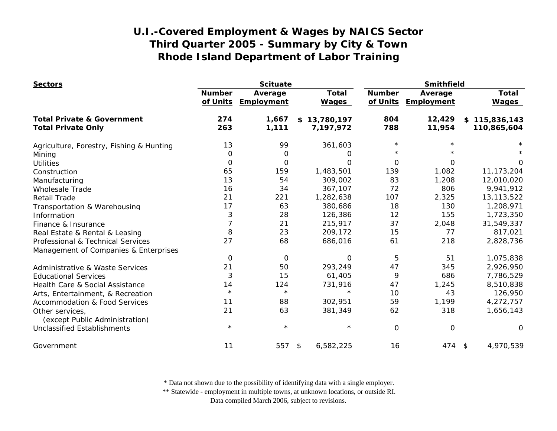| <b>Sectors</b>                             | <b>Scituate</b>           |                       |                              | <b>Smithfield</b>         |                       |                              |
|--------------------------------------------|---------------------------|-----------------------|------------------------------|---------------------------|-----------------------|------------------------------|
|                                            | <b>Number</b><br>of Units | Average<br>Employment | <b>Total</b><br><b>Wages</b> | <b>Number</b><br>of Units | Average<br>Employment | <b>Total</b><br><b>Wages</b> |
| <b>Total Private &amp; Government</b>      | 274                       | 1,667                 | \$13,780,197                 | 804                       | 12,429                | \$115,836,143                |
| <b>Total Private Only</b>                  | 263                       | 1,111                 | 7,197,972                    | 788                       | 11,954                | 110,865,604                  |
| Agriculture, Forestry, Fishing & Hunting   | 13                        | 99                    | 361,603                      | $\star$                   |                       |                              |
| Mining                                     | 0                         | 0                     | O                            | $\star$                   |                       |                              |
| <b>Utilities</b>                           | 0                         | O                     | O                            | $\Omega$                  | $\Omega$              | O                            |
| Construction                               | 65                        | 159                   | 1,483,501                    | 139                       | 1,082                 | 11, 173, 204                 |
| Manufacturing                              | 13                        | 54                    | 309,002                      | 83                        | 1,208                 | 12,010,020                   |
| <b>Wholesale Trade</b>                     | 16                        | 34                    | 367,107                      | 72                        | 806                   | 9,941,912                    |
| <b>Retail Trade</b>                        | 21                        | 221                   | 1,282,638                    | 107                       | 2,325                 | 13, 113, 522                 |
| Transportation & Warehousing               | 17                        | 63                    | 380,686                      | 18                        | 130                   | 1,208,971                    |
| Information                                | 3                         | 28                    | 126,386                      | 12                        | 155                   | 1,723,350                    |
| Finance & Insurance                        | $\overline{7}$            | 21                    | 215,917                      | 37                        | 2,048                 | 31,549,337                   |
| Real Estate & Rental & Leasing             | 8                         | 23                    | 209,172                      | 15                        | 77                    | 817,021                      |
| Professional & Technical Services          | 27                        | 68                    | 686,016                      | 61                        | 218                   | 2,828,736                    |
| Management of Companies & Enterprises      |                           |                       |                              |                           |                       |                              |
|                                            | 0                         | $\mathbf 0$           | O                            | 5                         | 51                    | 1,075,838                    |
| <b>Administrative &amp; Waste Services</b> | 21                        | 50                    | 293,249                      | 47                        | 345                   | 2,926,950                    |
| <b>Educational Services</b>                | 3                         | 15                    | 61,405                       | 9                         | 686                   | 7,786,529                    |
| Health Care & Social Assistance            | 14                        | 124                   | 731,916                      | 47                        | 1,245                 | 8,510,838                    |
| Arts, Entertainment, & Recreation          | $\star$                   | $\star$               | $\star$                      | 10                        | 43                    | 126,950                      |
| <b>Accommodation &amp; Food Services</b>   | 11                        | 88                    | 302,951                      | 59                        | 1,199                 | 4,272,757                    |
| Other services,                            | 21                        | 63                    | 381,349                      | 62                        | 318                   | 1,656,143                    |
| (except Public Administration)             |                           |                       |                              |                           |                       |                              |
| <b>Unclassified Establishments</b>         | $\star$                   | $\star$               | $\star$                      | $\mathbf 0$               | $\mathbf 0$           | O                            |
| Government                                 | 11                        | 557                   | 6,582,225<br>\$              | 16                        | 474 \$                | 4,970,539                    |

\* Data not shown due to the possibility of identifying data with a single employer.

\*\* Statewide - employment in multiple towns, at unknown locations, or outside RI.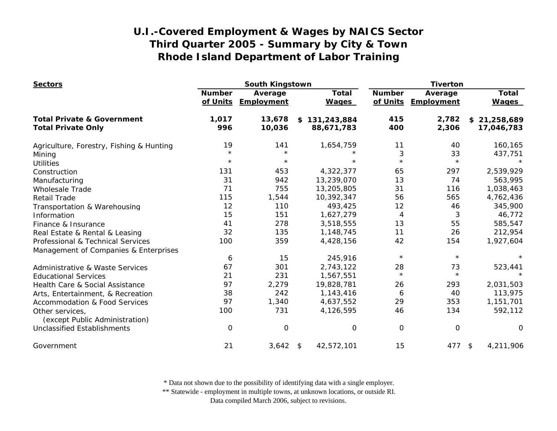| <b>Sectors</b>                           | South Kingstown           |                       |                              | <b>Tiverton</b>           |                       |                              |
|------------------------------------------|---------------------------|-----------------------|------------------------------|---------------------------|-----------------------|------------------------------|
|                                          | <b>Number</b><br>of Units | Average<br>Employment | <b>Total</b><br><b>Wages</b> | <b>Number</b><br>of Units | Average<br>Employment | <b>Total</b><br><b>Wages</b> |
| <b>Total Private &amp; Government</b>    | 1,017                     | 13,678                | \$131,243,884                | 415                       | 2,782                 | \$21,258,689                 |
| <b>Total Private Only</b>                | 996                       | 10,036                | 88,671,783                   | 400                       | 2,306                 | 17,046,783                   |
| Agriculture, Forestry, Fishing & Hunting | 19                        | 141                   | 1,654,759                    | 11                        | 40                    | 160,165                      |
| Mining                                   | $\star$                   | $\star$               |                              | 3                         | 33                    | 437,751                      |
| <b>Utilities</b>                         | $\star$                   | $\star$               | $\star$                      | $\star$                   | $\star$               |                              |
| Construction                             | 131                       | 453                   | 4,322,377                    | 65                        | 297                   | 2,539,929                    |
| Manufacturing                            | 31                        | 942                   | 13,239,070                   | 13                        | 74                    | 563,995                      |
| <b>Wholesale Trade</b>                   | 71                        | 755                   | 13,205,805                   | 31                        | 116                   | 1,038,463                    |
| <b>Retail Trade</b>                      | 115                       | 1,544                 | 10,392,347                   | 56                        | 565                   | 4,762,436                    |
| Transportation & Warehousing             | 12                        | 110                   | 493,425                      | 12                        | 46                    | 345,900                      |
| Information                              | 15                        | 151                   | 1,627,279                    | 4                         | 3                     | 46,772                       |
| Finance & Insurance                      | 41                        | 278                   | 3,518,555                    | 13                        | 55                    | 585,547                      |
| Real Estate & Rental & Leasing           | 32                        | 135                   | 1,148,745                    | 11                        | 26                    | 212,954                      |
| Professional & Technical Services        | 100                       | 359                   | 4,428,156                    | 42                        | 154                   | 1,927,604                    |
| Management of Companies & Enterprises    |                           |                       |                              |                           |                       |                              |
|                                          | 6                         | 15                    | 245,916                      | $\star$                   | $\star$               |                              |
| Administrative & Waste Services          | 67                        | 301                   | 2,743,122                    | 28                        | 73                    | 523,441                      |
| <b>Educational Services</b>              | 21                        | 231                   | 1,567,551                    | $\star$                   | $\star$               |                              |
| Health Care & Social Assistance          | 97                        | 2,279                 | 19,828,781                   | 26                        | 293                   | 2,031,503                    |
| Arts, Entertainment, & Recreation        | 38                        | 242                   | 1,143,416                    | 6                         | 40                    | 113,975                      |
| <b>Accommodation &amp; Food Services</b> | 97                        | 1,340                 | 4,637,552                    | 29                        | 353                   | 1,151,701                    |
| Other services,                          | 100                       | 731                   | 4,126,595                    | 46                        | 134                   | 592,112                      |
| (except Public Administration)           |                           |                       |                              |                           |                       |                              |
| <b>Unclassified Establishments</b>       | 0                         | $\mathbf 0$           | 0                            | 0                         | $\mathsf{O}\xspace$   | $\mathbf 0$                  |
| Government                               | 21                        | 3,642                 | 42,572,101<br>\$             | 15                        | 477                   | 4,211,906<br>\$              |

\* Data not shown due to the possibility of identifying data with a single employer.

\*\* Statewide - employment in multiple towns, at unknown locations, or outside RI.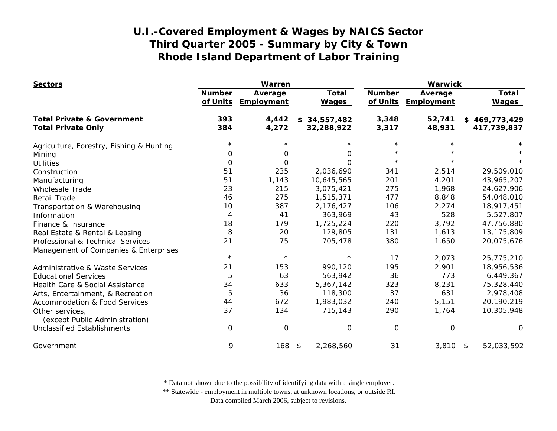| <b>Sectors</b>                                    | Warren                    |                       |                              | Warwick                   |                       |                              |
|---------------------------------------------------|---------------------------|-----------------------|------------------------------|---------------------------|-----------------------|------------------------------|
|                                                   | <b>Number</b><br>of Units | Average<br>Employment | <b>Total</b><br><b>Wages</b> | <b>Number</b><br>of Units | Average<br>Employment | <b>Total</b><br><b>Wages</b> |
| <b>Total Private &amp; Government</b>             | 393                       | 4,442                 | \$34,557,482                 | 3,348                     | 52,741                | \$469,773,429                |
| <b>Total Private Only</b>                         | 384                       | 4,272                 | 32,288,922                   | 3,317                     | 48,931                | 417,739,837                  |
| Agriculture, Forestry, Fishing & Hunting          | $^\star$                  |                       |                              | $\star$                   |                       |                              |
| Mining                                            | 0                         | 0                     | 0                            | $\star$                   |                       |                              |
| <b>Utilities</b>                                  | 0                         | $\Omega$              | O                            | $\star$                   |                       |                              |
| Construction                                      | 51                        | 235                   | 2,036,690                    | 341                       | 2,514                 | 29,509,010                   |
| Manufacturing                                     | 51                        | 1,143                 | 10,645,565                   | 201                       | 4,201                 | 43,965,207                   |
| <b>Wholesale Trade</b>                            | 23                        | 215                   | 3,075,421                    | 275                       | 1,968                 | 24,627,906                   |
| <b>Retail Trade</b>                               | 46                        | 275                   | 1,515,371                    | 477                       | 8,848                 | 54,048,010                   |
| Transportation & Warehousing                      | 10                        | 387                   | 2,176,427                    | 106                       | 2,274                 | 18,917,451                   |
| Information                                       | 4                         | 41                    | 363,969                      | 43                        | 528                   | 5,527,807                    |
| Finance & Insurance                               | 18                        | 179                   | 1,725,224                    | 220                       | 3,792                 | 47,756,880                   |
| Real Estate & Rental & Leasing                    | 8                         | 20                    | 129,805                      | 131                       | 1,613                 | 13,175,809                   |
| Professional & Technical Services                 | 21                        | 75                    | 705,478                      | 380                       | 1,650                 | 20,075,676                   |
| Management of Companies & Enterprises             |                           |                       |                              |                           |                       |                              |
|                                                   | $\star$                   | $\star$               | $\star$                      | 17                        | 2,073                 | 25,775,210                   |
| <b>Administrative &amp; Waste Services</b>        | 21                        | 153                   | 990,120                      | 195                       | 2,901                 | 18,956,536                   |
| <b>Educational Services</b>                       | 5                         | 63                    | 563,942                      | 36                        | 773                   | 6,449,367                    |
| Health Care & Social Assistance                   | 34                        | 633                   | 5,367,142                    | 323                       | 8,231                 | 75,328,440                   |
| Arts, Entertainment, & Recreation                 | 5                         | 36                    | 118,300                      | 37                        | 631                   | 2,978,408                    |
| <b>Accommodation &amp; Food Services</b>          | 44                        | 672                   | 1,983,032                    | 240                       | 5,151                 | 20,190,219                   |
| Other services,<br>(except Public Administration) | 37                        | 134                   | 715,143                      | 290                       | 1,764                 | 10,305,948                   |
| <b>Unclassified Establishments</b>                | 0                         | $\mathsf{O}\xspace$   | 0                            | $\mathsf{O}\xspace$       | 0                     | $\Omega$                     |
| Government                                        | 9                         | 168                   | 2,268,560<br>\$              | 31                        | $3,810$ \$            | 52,033,592                   |

\* Data not shown due to the possibility of identifying data with a single employer.

\*\* Statewide - employment in multiple towns, at unknown locations, or outside RI.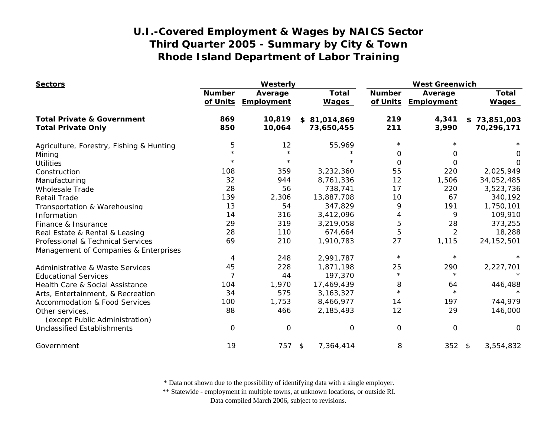| <b>Sectors</b>                                    | Westerly                  |                              |                              | <b>West Greenwich</b>     |                       |                              |
|---------------------------------------------------|---------------------------|------------------------------|------------------------------|---------------------------|-----------------------|------------------------------|
|                                                   | <b>Number</b><br>of Units | Average<br><b>Employment</b> | <b>Total</b><br><b>Wages</b> | <b>Number</b><br>of Units | Average<br>Employment | <b>Total</b><br><b>Wages</b> |
| <b>Total Private &amp; Government</b>             | 869                       | 10,819                       | \$81,014,869                 | 219                       | 4,341                 | \$73,851,003                 |
| <b>Total Private Only</b>                         | 850                       | 10,064                       | 73,650,455                   | 211                       | 3,990                 | 70,296,171                   |
| Agriculture, Forestry, Fishing & Hunting          | 5                         | 12                           | 55,969                       | $^\star$                  |                       |                              |
| Mining                                            | $\star$                   | $\star$                      | $\star$                      | 0                         | 0                     | 0                            |
| <b>Utilities</b>                                  | $^\star$                  | $\star$                      | $\star$                      | $\Omega$                  | $\Omega$              | O                            |
| Construction                                      | 108                       | 359                          | 3,232,360                    | 55                        | 220                   | 2,025,949                    |
| Manufacturing                                     | 32                        | 944                          | 8,761,336                    | 12                        | 1,506                 | 34,052,485                   |
| <b>Wholesale Trade</b>                            | 28                        | 56                           | 738,741                      | 17                        | 220                   | 3,523,736                    |
| <b>Retail Trade</b>                               | 139                       | 2,306                        | 13,887,708                   | 10                        | 67                    | 340,192                      |
| Transportation & Warehousing                      | 13                        | 54                           | 347,829                      | 9                         | 191                   | 1,750,101                    |
| Information                                       | 14                        | 316                          | 3,412,096                    | 4                         | 9                     | 109,910                      |
| Finance & Insurance                               | 29                        | 319                          | 3,219,058                    | 5                         | 28                    | 373,255                      |
| Real Estate & Rental & Leasing                    | 28                        | 110                          | 674,664                      | $\overline{5}$            | $\overline{2}$        | 18,288                       |
| Professional & Technical Services                 | 69                        | 210                          | 1,910,783                    | 27                        | 1,115                 | 24, 152, 501                 |
| Management of Companies & Enterprises             |                           |                              |                              |                           |                       |                              |
|                                                   | 4                         | 248                          | 2,991,787                    | $\star$                   | $\star$               |                              |
| Administrative & Waste Services                   | 45                        | 228                          | 1,871,198                    | 25                        | 290                   | 2,227,701                    |
| <b>Educational Services</b>                       | 7                         | 44                           | 197,370                      | $\star$                   | $\star$               |                              |
| Health Care & Social Assistance                   | 104                       | 1,970                        | 17,469,439                   | 8                         | 64                    | 446,488                      |
| Arts, Entertainment, & Recreation                 | 34                        | 575                          | 3, 163, 327                  | $\star$                   | $\star$               |                              |
| <b>Accommodation &amp; Food Services</b>          | 100                       | 1,753                        | 8,466,977                    | 14                        | 197                   | 744,979                      |
| Other services,<br>(except Public Administration) | 88                        | 466                          | 2,185,493                    | 12                        | 29                    | 146,000                      |
| <b>Unclassified Establishments</b>                | $\mathbf 0$               | $\Omega$                     | 0                            | $\mathbf 0$               | $\mathbf 0$           | 0                            |
| Government                                        | 19                        | 757                          | \$<br>7,364,414              | 8                         | $352$ \$              | 3,554,832                    |

\* Data not shown due to the possibility of identifying data with a single employer.

\*\* Statewide - employment in multiple towns, at unknown locations, or outside RI.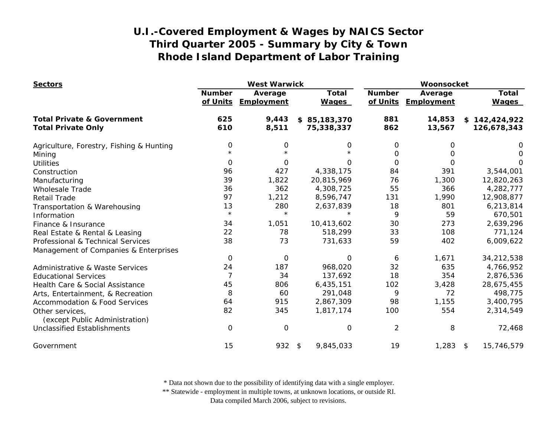| <b>Sectors</b>                             | <b>West Warwick</b>       |                       |                              | Woonsocket                |                       |                              |
|--------------------------------------------|---------------------------|-----------------------|------------------------------|---------------------------|-----------------------|------------------------------|
|                                            | <b>Number</b><br>of Units | Average<br>Employment | <b>Total</b><br><b>Wages</b> | <b>Number</b><br>of Units | Average<br>Employment | <b>Total</b><br><b>Wages</b> |
| <b>Total Private &amp; Government</b>      | 625                       | 9,443                 | \$85,183,370                 | 881                       | 14,853                | \$142,424,922                |
| <b>Total Private Only</b>                  | 610                       | 8,511                 | 75,338,337                   | 862                       | 13,567                | 126,678,343                  |
| Agriculture, Forestry, Fishing & Hunting   | 0                         | 0                     | 0                            | 0                         | 0                     | Ő                            |
| Mining                                     | $\star$                   | $\star$               |                              | 0                         | 0                     | 0                            |
| <b>Utilities</b>                           | 0                         | $\Omega$              | 0                            | $\Omega$                  | $\Omega$              | O                            |
| Construction                               | 96                        | 427                   | 4,338,175                    | 84                        | 391                   | 3,544,001                    |
| Manufacturing                              | 39                        | 1,822                 | 20,815,969                   | 76                        | 1,300                 | 12,820,263                   |
| Wholesale Trade                            | 36                        | 362                   | 4,308,725                    | 55                        | 366                   | 4,282,777                    |
| <b>Retail Trade</b>                        | 97                        | 1,212                 | 8,596,747                    | 131                       | 1,990                 | 12,908,877                   |
| Transportation & Warehousing               | 13                        | 280                   | 2,637,839                    | 18                        | 801                   | 6,213,814                    |
| Information                                | $\star$                   | $\star$               |                              | 9                         | 59                    | 670,501                      |
| Finance & Insurance                        | 34                        | 1,051                 | 10,413,602                   | 30                        | 273                   | 2,639,296                    |
| Real Estate & Rental & Leasing             | 22                        | 78                    | 518,299                      | 33                        | 108                   | 771,124                      |
| Professional & Technical Services          | 38                        | 73                    | 731,633                      | 59                        | 402                   | 6,009,622                    |
| Management of Companies & Enterprises      |                           |                       |                              |                           |                       |                              |
|                                            | $\mathbf 0$               | 0                     | O                            | 6                         | 1,671                 | 34,212,538                   |
| <b>Administrative &amp; Waste Services</b> | 24                        | 187                   | 968,020                      | 32                        | 635                   | 4,766,952                    |
| <b>Educational Services</b>                | $\overline{7}$            | 34                    | 137,692                      | 18                        | 354                   | 2,876,536                    |
| Health Care & Social Assistance            | 45                        | 806                   | 6,435,151                    | 102                       | 3,428                 | 28,675,455                   |
| Arts, Entertainment, & Recreation          | 8                         | 60                    | 291,048                      | 9                         | 72                    | 498,775                      |
| <b>Accommodation &amp; Food Services</b>   | 64                        | 915                   | 2,867,309                    | 98                        | 1,155                 | 3,400,795                    |
| Other services,                            | 82                        | 345                   | 1,817,174                    | 100                       | 554                   | 2,314,549                    |
| (except Public Administration)             |                           |                       |                              |                           |                       |                              |
| <b>Unclassified Establishments</b>         | $\mathbf 0$               | $\mathbf 0$           | 0                            | $\overline{2}$            | 8                     | 72,468                       |
| Government                                 | 15                        | 932                   | 9,845,033<br>\$              | 19                        | $1,283$ \$            | 15,746,579                   |

\* Data not shown due to the possibility of identifying data with a single employer.

\*\* Statewide - employment in multiple towns, at unknown locations, or outside RI.